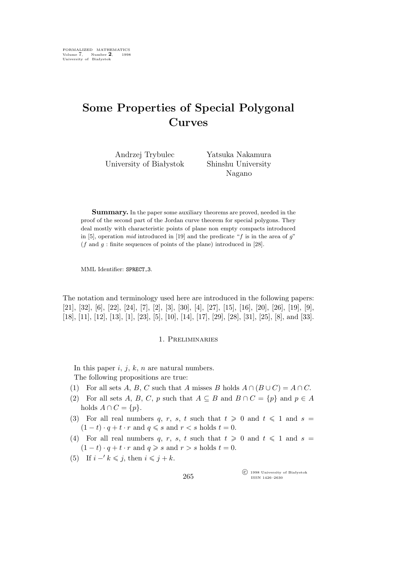# **Some Properties of Special Polygonal Curves**

Andrzej Trybulec University of Białystok Yatsuka Nakamura Shinshu University Nagano

**Summary.** In the paper some auxiliary theorems are proved, needed in the proof of the second part of the Jordan curve theorem for special polygons. They deal mostly with characteristic points of plane non empty compacts introduced in [5], operation *mid* introduced in [19] and the predicate " $f$  is in the area of  $g$ "  $(f \text{ and } g : \text{finite sequences of points of the plane})$  introduced in [28].

MML Identifier: SPRECT<sub>-3</sub>.

The notation and terminology used here are introduced in the following papers: [21], [32], [6], [22], [24], [7], [2], [3], [30], [4], [27], [15], [16], [20], [26], [19], [9], [18], [11], [12], [13], [1], [23], [5], [10], [14], [17], [29], [28], [31], [25], [8], and [33].

#### 1. Preliminaries

In this paper  $i, j, k, n$  are natural numbers.

The following propositions are true:

- (1) For all sets A, B, C such that A misses B holds  $A \cap (B \cup C) = A \cap C$ .
- (2) For all sets A, B, C, p such that  $A \subseteq B$  and  $B \cap C = \{p\}$  and  $p \in A$ holds  $A \cap C = \{p\}.$
- (3) For all real numbers q, r, s, t such that  $t \geq 0$  and  $t \leq 1$  and  $s =$  $(1-t) \cdot q + t \cdot r$  and  $q \leq s$  and  $r < s$  holds  $t = 0$ .
- (4) For all real numbers q, r, s, t such that  $t \geq 0$  and  $t \leq 1$  and  $s =$  $(1-t) \cdot q + t \cdot r$  and  $q \geq s$  and  $r > s$  holds  $t = 0$ .
- (5) If  $i 'k \leq j$ , then  $i \leq j + k$ .

°c 1998 University of Białystok ISSN 1426–2630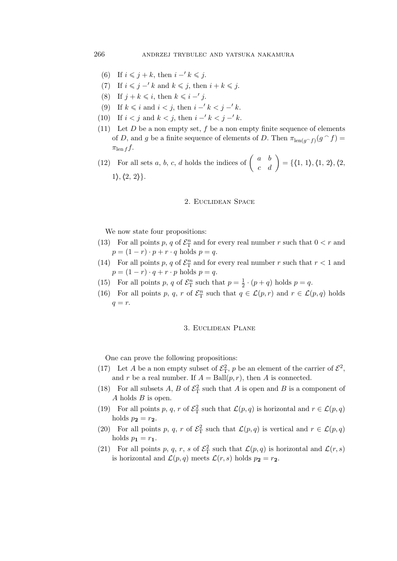- (6) If  $i \leq j + k$ , then  $i 'k \leq j$ .
- (7) If  $i \leq j k$  and  $k \leq j$ , then  $i + k \leq j$ .
- (8) If  $j + k \leq i$ , then  $k \leq i j$ .
- (9) If  $k \leq i$  and  $i < j$ , then  $i 'k < j 'k$ .
- (10) If  $i < j$  and  $k < j$ , then  $i 'k < j 'k$ .
- (11) Let  $D$  be a non empty set,  $f$  be a non empty finite sequence of elements of D, and g be a finite sequence of elements of D. Then  $\pi_{\text{len}(g\cap f)}(g\cap f) =$  $\pi_{\text{len }f} f$ .

(12) For all sets a, b, c, d holds the indices of  $\begin{pmatrix} a & b \\ c & d \end{pmatrix} = \{\langle 1, 1 \rangle, \langle 1, 2 \rangle, \langle 2, 2 \rangle\}$ 1*i*,*h*2, 2*i}*.

#### 2. Euclidean Space

We now state four propositions:

- (13) For all points p, q of  $\mathcal{E}_{\mathcal{T}}^n$  and for every real number r such that  $0 < r$  and  $p = (1 - r) \cdot p + r \cdot q$  holds  $p = q$ .
- (14) For all points p, q of  $\mathcal{E}_{\mathcal{T}}^n$  and for every real number r such that  $r < 1$  and  $p = (1 - r) \cdot q + r \cdot p$  holds  $p = q$ .
- (15) For all points p, q of  $\mathcal{E}_{\mathrm{T}}^n$  such that  $p = \frac{1}{2}$  $\frac{1}{2} \cdot (p+q)$  holds  $p = q$ .
- (16) For all points p, q, r of  $\mathcal{E}_{\mathcal{T}}^n$  such that  $q \in \mathcal{L}(p,r)$  and  $r \in \mathcal{L}(p,q)$  holds  $q = r$ .

# 3. Euclidean Plane

One can prove the following propositions:

- (17) Let A be a non empty subset of  $\mathcal{E}_T^2$ , p be an element of the carrier of  $\mathcal{E}^2$ , and r be a real number. If  $A = \text{Ball}(p, r)$ , then A is connected.
- (18) For all subsets A, B of  $\mathcal{E}_{\mathcal{T}}^2$  such that A is open and B is a component of A holds B is open.
- (19) For all points p, q, r of  $\mathcal{E}_{\Gamma}^2$  such that  $\mathcal{L}(p,q)$  is horizontal and  $r \in \mathcal{L}(p,q)$ holds  $p_2 = r_2$ .
- (20) For all points p, q, r of  $\mathcal{E}_{\mathcal{T}}^2$  such that  $\mathcal{L}(p,q)$  is vertical and  $r \in \mathcal{L}(p,q)$ holds  $p_1 = r_1$ .
- (21) For all points p, q, r, s of  $\mathcal{E}_{\rm T}^2$  such that  $\mathcal{L}(p,q)$  is horizontal and  $\mathcal{L}(r,s)$ is horizontal and  $\mathcal{L}(p,q)$  meets  $\mathcal{L}(r,s)$  holds  $p_2 = r_2$ .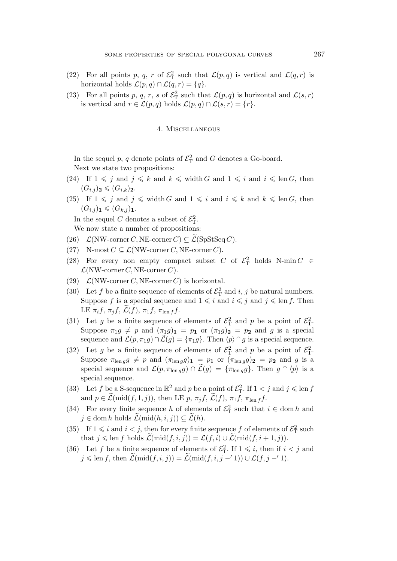- (22) For all points p, q, r of  $\mathcal{E}_{\mathcal{T}}^2$  such that  $\mathcal{L}(p,q)$  is vertical and  $\mathcal{L}(q,r)$  is horizontal holds  $\mathcal{L}(p,q) \cap \mathcal{L}(q,r) = \{q\}.$
- (23) For all points p, q, r, s of  $\mathcal{E}_{\mathcal{T}}^2$  such that  $\mathcal{L}(p,q)$  is horizontal and  $\mathcal{L}(s,r)$ is vertical and  $r \in \mathcal{L}(p,q)$  holds  $\mathcal{L}(p,q) \cap \mathcal{L}(s,r) = \{r\}.$

# 4. Miscellaneous

In the sequel p, q denote points of  $\mathcal{E}^2$  and G denotes a Go-board. Next we state two propositions:

- (24) If  $1 \leq j$  and  $j \leq k$  and  $k \leq \text{width } G$  and  $1 \leq i$  and  $i \leq \text{len } G$ , then  $(G_{i,j})_2 \leqslant (G_{i,k})_2.$
- (25) If  $1 \leq j$  and  $j \leq \text{width } G$  and  $1 \leq i$  and  $i \leq k$  and  $k \leq \text{len } G$ , then  $(G_{i,j})_1 \leqslant (G_{k,j})_1.$

In the sequel C denotes a subset of  $\mathcal{E}_{\mathrm{T}}^2$ .

We now state a number of propositions:

- $(26)$  *L*(NW-corner *C*, NE-corner *C*)  $\subseteq$  *L*(SpStSeq *C*).
- (27) N-most  $C \subseteq \mathcal{L}(NW\text{-corner } C, NE\text{-corner } C).$
- (28) For every non empty compact subset C of  $\mathcal{E}_{\rm T}^2$  holds N-min  $C \in$  $\mathcal{L}(NW\text{-corner } C, NE\text{-corner } C).$
- (29)  $\mathcal{L}(NW\text{-corner } C, NE\text{-corner } C)$  is horizontal.
- (30) Let f be a finite sequence of elements of  $\mathcal{E}_{\rm T}^2$  and i, j be natural numbers. Suppose f is a special sequence and  $1 \leq i$  and  $i \leq j$  and  $j \leq \text{len } f$ . Then LE  $\pi_i f$ ,  $\pi_j f$ ,  $\mathcal{L}(f)$ ,  $\pi_1 f$ ,  $\pi_{\text{len } f} f$ .
- (31) Let g be a finite sequence of elements of  $\mathcal{E}_T^2$  and p be a point of  $\mathcal{E}_T^2$ . Suppose  $\pi_1 g \neq p$  and  $(\pi_1 g)_1 = p_1$  or  $(\pi_1 g)_2 = p_2$  and g is a special sequence and  $\mathcal{L}(p, \pi_1 g) \cap \widetilde{\mathcal{L}}(g) = {\pi_1 g}$ . Then  $\langle p \rangle \cap g$  is a special sequence.
- (32) Let g be a finite sequence of elements of  $\mathcal{E}_{\rm T}^2$  and p be a point of  $\mathcal{E}_{\rm T}^2$ . Suppose  $\pi_{\text{len }g}g \neq p$  and  $(\pi_{\text{len }g}g)_{1} = p_{1}$  or  $(\pi_{\text{len }g}g)_{2} = p_{2}$  and g is a special sequence and  $\mathcal{L}(p, \pi_{\text{len }g}g) \cap \widetilde{\mathcal{L}}(g) = {\pi_{\text{len }g}g}$ . Then  $g \cap \langle p \rangle$  is a special sequence.
- (33) Let f be a S-sequence in  $\mathbb{R}^2$  and p be a point of  $\mathcal{E}_{\Gamma}^2$ . If  $1 < j$  and  $j \leqslant \text{len } f$ and  $p \in \mathcal{L}(\text{mid}(f, 1, j))$ , then LE p,  $\pi_j f$ ,  $\mathcal{L}(f)$ ,  $\pi_1 f$ ,  $\pi_{\text{len }f} f$ .
- (34) For every finite sequence h of elements of  $\mathcal{E}_{\rm T}^2$  such that  $i \in \text{dom } h$  and  $j \in \text{dom } h$  holds  $\mathcal{L}(\text{mid}(h, i, j)) \subseteq \mathcal{L}(h)$ .
- (35) If  $1 \leq i$  and  $i < j$ , then for every finite sequence f of elements of  $\mathcal{E}_{\rm T}^2$  such that  $j \leq \text{len } f$  holds  $\widetilde{\mathcal{L}}(\text{mid}(f, i, j)) = \mathcal{L}(f, i) \cup \widetilde{\mathcal{L}}(\text{mid}(f, i + 1, j)).$
- (36) Let f be a finite sequence of elements of  $\mathcal{E}_{\mathcal{T}}^2$ . If  $1 \leqslant i$ , then if  $i < j$  and  $j \leqslant \text{len } f$ , then  $\widetilde{\mathcal{L}}(\text{mid}(f, i, j)) = \widetilde{\mathcal{L}}(\text{mid}(f, i, j - '1)) \cup \mathcal{L}(f, j - '1).$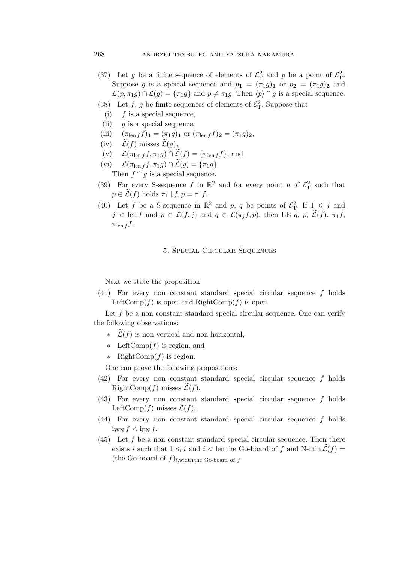- (37) Let g be a finite sequence of elements of  $\mathcal{E}_T^2$  and p be a point of  $\mathcal{E}_T^2$ . Suppose g is a special sequence and  $p_1 = (\pi_1 g)_1$  or  $p_2 = (\pi_1 g)_2$  and  $\mathcal{L}(p, \pi_1 g) \cap \widetilde{\mathcal{L}}(g) = {\pi_1 g}$  and  $p \neq \pi_1 g$ . Then  $\langle p \rangle \cap g$  is a special sequence.
- (38) Let f, g be finite sequences of elements of  $\mathcal{E}_T^2$ . Suppose that
- (i)  $f$  is a special sequence,
- (ii) g is a special sequence,
- (iii)  $(\pi_{\text{len }f} f)_{\mathbf{1}} = (\pi_1 g)_{\mathbf{1}} \text{ or } (\pi_{\text{len }f} f)_{\mathbf{2}} = (\pi_1 g)_{\mathbf{2}},$
- $(iv)$   $\widetilde{\mathcal{L}}(f)$  misses  $\widetilde{\mathcal{L}}(q)$ ,
- $(\mathbf{v}) \quad \mathcal{L}(\pi_{\text{len }f} f, \pi_1 g) \cap \mathcal{L}(f) = {\pi_{\text{len }f} f}, \text{ and}$
- $(vi)$   $\mathcal{L}(\pi_{\text{len }f} f, \pi_1 g) \cap \mathcal{L}(g) = {\pi_1 g}.$ Then  $f \circ g$  is a special sequence.
- (39) For every S-sequence f in  $\mathbb{R}^2$  and for every point p of  $\mathcal{E}^2$  such that  $p \in \widetilde{\mathcal{L}}(f)$  holds  $\pi_1 \downharpoonright f, p = \pi_1 f$ .
- (40) Let f be a S-sequence in  $\mathbb{R}^2$  and p, q be points of  $\mathcal{E}_T^2$ . If  $1 \leqslant j$  and  $j < \text{len } f \text{ and } p \in \mathcal{L}(f, j) \text{ and } q \in \mathcal{L}(\pi_i f, p)$ , then LE q, p,  $\widetilde{\mathcal{L}}(f), \pi_1 f$ ,  $\pi_{\text{len }f} f$ .

# 5. Special Circular Sequences

Next we state the proposition

(41) For every non constant standard special circular sequence f holds LeftComp(f) is open and RightComp(f) is open.

Let  $f$  be a non constant standard special circular sequence. One can verify the following observations:

- $\tilde{\mathcal{L}}(f)$  is non vertical and non horizontal,
- *∗* LeftComp(f) is region, and
- *∗* RightComp(f) is region.

One can prove the following propositions:

- (42) For every non constant standard special circular sequence f holds RightComp(f) misses  $\mathcal{L}(f)$ .
- $(43)$  For every non constant standard special circular sequence f holds LeftComp(f) misses  $\mathcal{L}(f)$ .
- (44) For every non constant standard special circular sequence f holds  $i_{\text{WN}} f < i_{\text{EN}} f$ .
- $(45)$  Let f be a non constant standard special circular sequence. Then there exists i such that  $1 \leq i$  and  $i <$  len the Go-board of f and N-min  $\widetilde{\mathcal{L}}(f) =$ (the Go-board of  $f)_{i,\text{width the Go-board of } f}$ .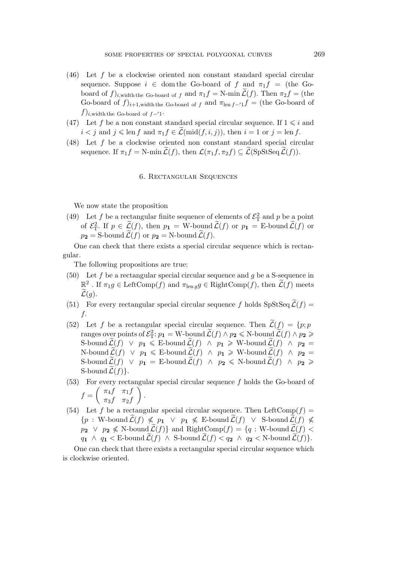- (46) Let f be a clockwise oriented non constant standard special circular sequence. Suppose  $i \in \text{dom the Go-board of } f$  and  $\pi_1 f =$  (the Goboard of  $f)_{i,\text{width the Go-board of } f}$  and  $\pi_1 f = \text{N-min } \mathcal{L}(f)$ . Then  $\pi_2 f =$  (the Go-board of  $f$ )<sub>i+1,width the Go-board of f and  $\pi_{\text{len }f - f}$  = (the Go-board of</sub> f)i,width the Go-board of <sup>f</sup>*−′*1.
- (47) Let f be a non constant standard special circular sequence. If  $1 \leq i$  and  $i < j$  and  $j \leq \text{len } f$  and  $\pi_1 f \in \mathcal{L}(\text{mid}(f, i, j))$ , then  $i = 1$  or  $j = \text{len } f$ .
- (48) Let f be a clockwise oriented non constant standard special circular sequence. If  $\pi_1 f = \text{N-min } \widetilde{\mathcal{L}}(f)$ , then  $\mathcal{L}(\pi_1 f, \pi_2 f) \subseteq \widetilde{\mathcal{L}}(\text{SpStSeq } \widetilde{\mathcal{L}}(f)).$

#### 6. Rectangular Sequences

We now state the proposition

(49) Let f be a rectangular finite sequence of elements of  $\mathcal{E}_{\rm T}^2$  and p be a point of  $\mathcal{E}_{\mathrm{T}}^2$ . If  $p \in \widetilde{\mathcal{L}}(f)$ , then  $p_1 = \mathrm{W}\text{-}\mathrm{bound}\,\widetilde{\mathcal{L}}(f)$  or  $p_1 = \mathrm{E}\text{-}\mathrm{bound}\,\widetilde{\mathcal{L}}(f)$  or  $p_2 = S$ -bound  $\mathcal{L}(f)$  or  $p_2 = N$ -bound  $\mathcal{L}(f)$ .

One can check that there exists a special circular sequence which is rectangular.

The following propositions are true:

- (50) Let f be a rectangular special circular sequence and g be a S-sequence in  $\mathbb{R}^2$ . If  $\pi_1 g \in \text{LeftComp}(f)$  and  $\pi_{\text{len } g} g \in \text{RightComp}(f)$ , then  $\widetilde{\mathcal{L}}(f)$  meets  $\mathcal{L}(g)$ .
- (51) For every rectangular special circular sequence f holds  $\text{SpStSeq}\,\widetilde{\mathcal{L}}(f) =$ f.
- (52) Let f be a rectangular special circular sequence. Then  $\widetilde{\mathcal{L}}(f) = \{p; p\}$  $\text{range}$  over points of  $\mathcal{E}_{\text{T}}^2$ :  $p_1 = \text{W-bound }\widetilde{\mathcal{L}}(f) \land p_2 \leqslant \text{N-bound }\widetilde{\mathcal{L}}(f) \land p_2 \geqslant \mathcal{E}_{\text{max}}$ S-bound  $\mathcal{L}(f) \vee p_1 \leq E$ -bound  $\mathcal{L}(f) \wedge p_1 \geq W$ -bound  $\mathcal{L}(f) \wedge p_2 =$  $N$ -bound  $\widetilde{L}(f)$  *∨*  $p_1$  ≤ E-bound  $\widetilde{L}(f)$  *∧*  $p_1$  ≥ W-bound  $\widetilde{L}(f)$  *∧*  $p_2$  = S-bound  $\widetilde{\mathcal{L}}(f)$  *∨*  $p_1 = \text{E-bound }\widetilde{\mathcal{L}}(f)$  *∧*  $p_2 \leqslant \text{N-bound }\widetilde{\mathcal{L}}(f)$  *∧*  $p_2 \geqslant$ S-bound  $\mathcal{L}(f)$ .
- $(53)$  For every rectangular special circular sequence f holds the Go-board of  $f =$  $\int \pi_4 f \pi_1 f$  $\pi_3 f$   $\pi_2 f$  $\setminus$ .
- (54) Let f be a rectangular special circular sequence. Then LeftComp(f) =  ${p : W\text{-}bound }\mathcal{L}(f) \nleq p_1 ∨ p_1 \nleq E\text{-}bound }\mathcal{L}(f) ∨ S\text{-}bound }\mathcal{L}(f) \nleq$  $p_2$  *∨*  $p_2$   $\leq$  N-bound  $\widetilde{\mathcal{L}}(f)$ } and RightComp(f) = {*q* : W-bound  $\widetilde{\mathcal{L}}(f)$  <  $q_1 \wedge q_1 < E$ -bound  $\mathcal{L}(f) \wedge S$ -bound  $\mathcal{L}(f) < q_2 \wedge q_2 < N$ -bound  $\mathcal{L}(f)$ .

One can check that there exists a rectangular special circular sequence which is clockwise oriented.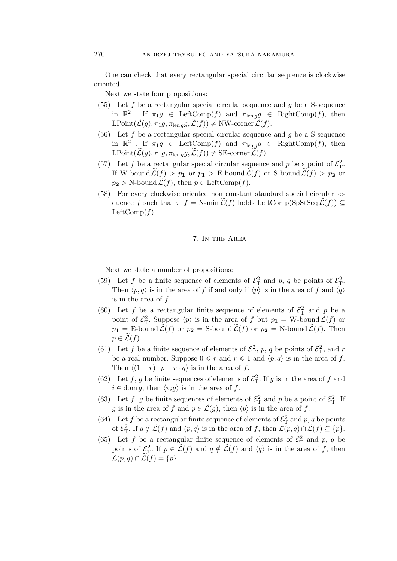One can check that every rectangular special circular sequence is clockwise oriented.

Next we state four propositions:

- (55) Let  $f$  be a rectangular special circular sequence and  $g$  be a S-sequence in  $\mathbb{R}^2$  . If  $\pi_1 g \in \text{LeftComp}(f)$  and  $\pi_{\text{len } g} g \in \text{RightComp}(f)$ , then  $LPoint(\mathcal{L}(g), \pi_1 g, \pi_{\text{len }g}, \mathcal{L}(f)) \neq \text{NW-corner }\mathcal{L}(f).$
- (56) Let  $f$  be a rectangular special circular sequence and  $g$  be a S-sequence in  $\mathbb{R}^2$ . If  $\pi_1 g \in \text{LeftComp}(f)$  and  $\pi_{\text{len } g} g \in \text{RightComp}(f)$ , then  $\text{LPoint}(\widetilde{\mathcal{L}}(g), \pi_1 g, \pi_{\text{len }g}g, \widetilde{\mathcal{L}}(f)) \neq \text{SE-correr }\widetilde{\mathcal{L}}(f).$
- (57) Let f be a rectangular special circular sequence and p be a point of  $\mathcal{E}_{\rm T}^2$ . If W-bound  $\mathcal{L}(f) > p_1$  or  $p_1 > E$ -bound  $\mathcal{L}(f)$  or S-bound  $\mathcal{L}(f) > p_2$  or  $p_2 > N$ -bound  $\widetilde{\mathcal{L}}(f)$ , then  $p \in \text{LeftComp}(f)$ .
- (58) For every clockwise oriented non constant standard special circular sequence f such that  $\pi_1 f = \text{N-min } \mathcal{L}(f)$  holds LeftComp(SpStSeq  $\mathcal{L}(f)$ )  $\subseteq$ LeftComp $(f)$ .

### 7. In the Area

Next we state a number of propositions:

- (59) Let f be a finite sequence of elements of  $\mathcal{E}_{\rm T}^2$  and p, q be points of  $\mathcal{E}_{\rm T}^2$ . Then  $\langle p, q \rangle$  is in the area of f if and only if  $\langle p \rangle$  is in the area of f and  $\langle q \rangle$ is in the area of f.
- (60) Let f be a rectangular finite sequence of elements of  $\mathcal{E}_{\rm T}^2$  and p be a point of  $\mathcal{E}_{\rm T}^2$ . Suppose  $\langle p \rangle$  is in the area of f but  $p_1 = W$ -bound  $\tilde{\mathcal{L}}(f)$  or  $p_1 = \text{E-bound }\widetilde{\mathcal{L}}(f) \text{ or } p_2 = \text{S-bound }\widetilde{\mathcal{L}}(f) \text{ or } p_2 = \text{N-bound }\widetilde{\mathcal{L}}(f). \text{ Then}$  $p \in \mathcal{L}(f)$ .
- (61) Let f be a finite sequence of elements of  $\mathcal{E}_T^2$ , p, q be points of  $\mathcal{E}_T^2$ , and r be a real number. Suppose  $0 \leq r$  and  $r \leq 1$  and  $\langle p, q \rangle$  is in the area of f. Then  $\langle (1 - r) \cdot p + r \cdot q \rangle$  is in the area of f.
- (62) Let f, g be finite sequences of elements of  $\mathcal{E}_{\rm T}^2$ . If g is in the area of f and  $i \in \text{dom } g$ , then  $\langle \pi_i g \rangle$  is in the area of f.
- (63) Let f, g be finite sequences of elements of  $\mathcal{E}_{\rm T}^2$  and p be a point of  $\mathcal{E}_{\rm T}^2$ . If g is in the area of f and  $p \in \mathcal{L}(g)$ , then  $\langle p \rangle$  is in the area of f.
- (64) Let f be a rectangular finite sequence of elements of  $\mathcal{E}_{\rm T}^2$  and p, q be points of  $\mathcal{E}_{\mathrm{T}}^2$ . If  $q \notin \mathcal{L}(f)$  and  $\langle p, q \rangle$  is in the area of f, then  $\mathcal{L}(p,q) \cap \mathcal{L}(f) \subseteq \{p\}.$
- (65) Let f be a rectangular finite sequence of elements of  $\mathcal{E}_{\rm T}^2$  and p, q be points of  $\mathcal{L}_{\mathcal{T}}^2$ . If  $p \in \widetilde{\mathcal{L}}(f)$  and  $q \notin \widetilde{\mathcal{L}}(f)$  and  $\langle q \rangle$  is in the area of f, then  $\mathcal{L}(p,q) \cap \mathcal{L}(f) = \{p\}.$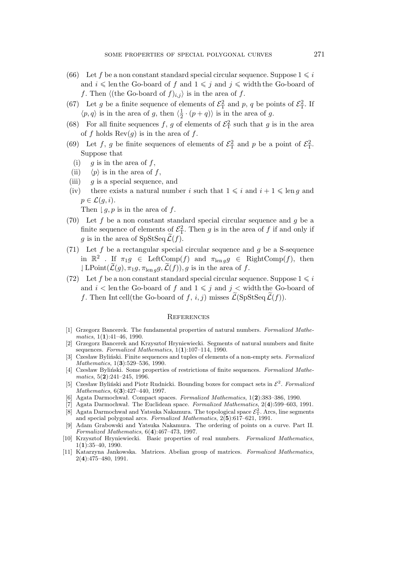- (66) Let f be a non constant standard special circular sequence. Suppose  $1 \leq i$ and  $i \leq \text{len the Go-board of } f$  and  $1 \leq j$  and  $j \leq \text{width the Go-board of } f$ f. Then  $\langle$ (the Go-board of  $f$ )<sub>i,j</sub> $\rangle$  is in the area of f.
- (67) Let g be a finite sequence of elements of  $\mathcal{E}_{\rm T}^2$  and p, q be points of  $\mathcal{E}_{\rm T}^2$ . If  $\langle p, q \rangle$  is in the area of g, then  $\langle \frac{1}{2} \rangle$  $\frac{1}{2} \cdot (p+q)$  is in the area of g.
- (68) For all finite sequences f, g of elements of  $\mathcal{E}_{\rm T}^2$  such that g is in the area of f holds  $\text{Rev}(g)$  is in the area of f.
- (69) Let f, g be finite sequences of elements of  $\mathcal{E}_{\rm T}^2$  and p be a point of  $\mathcal{E}_{\rm T}^2$ . Suppose that
	- (i) g is in the area of  $f$ ,
	- (ii)  $\langle p \rangle$  is in the area of f,
- (iii) g is a special sequence, and
- (iv) there exists a natural number i such that  $1 \leq i$  and  $i + 1 \leq \text{len } g$  and  $p \in \mathcal{L}(q, i).$

Then  $\lfloor g, p \rfloor$  is in the area of f.

- (70) Let f be a non constant standard special circular sequence and g be a finite sequence of elements of  $\mathcal{E}_{\rm T}^2$ . Then g is in the area of f if and only if g is in the area of  $SpStSeq \mathcal{L}(f)$ .
- (71) Let  $f$  be a rectangular special circular sequence and  $g$  be a S-sequence in  $\mathbb{R}^2$ . If  $\pi_1 g \in \text{LeftComp}(f)$  and  $\pi_{\text{len } g} g \in \text{RightComp}(f)$ , then  $\Box$  LPoint $(\mathcal{L}(g), \pi_1 g, \pi_{\text{len }g}, \mathcal{L}(f)), g$  is in the area of f.
- (72) Let f be a non constant standard special circular sequence. Suppose  $1 \leq i$ and  $i <$  len the Go-board of f and  $1 \leq i$  and  $j <$  width the Go-board of f. Then Int cell(the Go-board of f, i, j) misses  $\mathcal{L}(SpStSeq\mathcal{L}(f)).$

#### **REFERENCES**

- [1] Grzegorz Bancerek. The fundamental properties of natural numbers. *Formalized Mathematics*, 1(**1**):41–46, 1990.
- [2] Grzegorz Bancerek and Krzysztof Hryniewiecki. Segments of natural numbers and finite sequences. *Formalized Mathematics*, 1(**1**):107–114, 1990.
- [3] Czesław Byliński. Finite sequences and tuples of elements of a non-empty sets. *Formalized Mathematics*, 1(**3**):529–536, 1990.
- [4] Czesław Byliński. Some properties of restrictions of finite sequences. *Formalized Mathematics*, 5(**2**):241–245, 1996.
- [5] Czesław Byliński and Piotr Rudnicki. Bounding boxes for compact sets in *E* 2 . *Formalized Mathematics*, 6(**3**):427–440, 1997.
- [6] Agata Darmochwał. Compact spaces. *Formalized Mathematics*, 1(**2**):383–386, 1990.
- [7] Agata Darmochwał. The Euclidean space. *Formalized Mathematics*, 2(**4**):599–603, 1991.  $[8]$  Agata Darmochwał and Yatsuka Nakamura. The topological space  $\mathcal{E}_T^2$ . Arcs, line segments and special polygonal arcs. *Formalized Mathematics*, 2(**5**):617–621, 1991.
- [9] Adam Grabowski and Yatsuka Nakamura. The ordering of points on a curve. Part II. *Formalized Mathematics*, 6(**4**):467–473, 1997.
- [10] Krzysztof Hryniewiecki. Basic properties of real numbers. *Formalized Mathematics*, 1(**1**):35–40, 1990.
- [11] Katarzyna Jankowska. Matrices. Abelian group of matrices. *Formalized Mathematics*, 2(**4**):475–480, 1991.